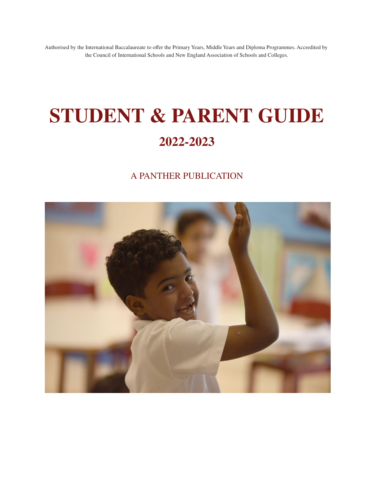Authorised by the International Baccalaureate to offer the Primary Years, Middle Years and Diploma Programmes. Accredited by the Council of International Schools and New England Association of Schools and Colleges.

# **STUDENT & PARENT GUIDE 2022-2023**

### A PANTHER PUBLICATION

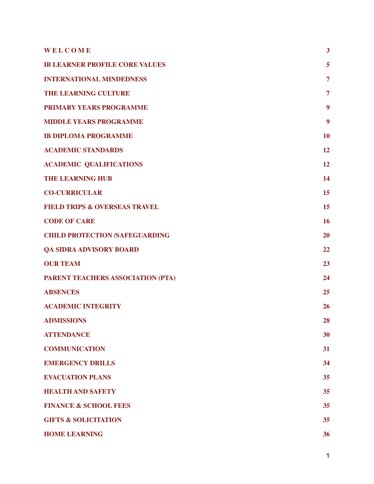| WELCOME                                  | $\overline{\mathbf{3}}$ |
|------------------------------------------|-------------------------|
| <b>IB LEARNER PROFILE CORE VALUES</b>    | 5                       |
| <b>INTERNATIONAL MINDEDNESS</b>          | $\overline{7}$          |
| <b>THE LEARNING CULTURE</b>              | $\overline{7}$          |
| PRIMARY YEARS PROGRAMME                  | 9                       |
| <b>MIDDLE YEARS PROGRAMME</b>            | 9                       |
| <b>IB DIPLOMA PROGRAMME</b>              | 10                      |
| <b>ACADEMIC STANDARDS</b>                | 12                      |
| <b>ACADEMIC QUALIFICATIONS</b>           | 12                      |
| <b>THE LEARNING HUB</b>                  | 14                      |
| <b>CO-CURRICULAR</b>                     | 15                      |
| <b>FIELD TRIPS &amp; OVERSEAS TRAVEL</b> | 15                      |
| <b>CODE OF CARE</b>                      | 16                      |
| <b>CHILD PROTECTION /SAFEGUARDING</b>    | 20                      |
| <b>QA SIDRA ADVISORY BOARD</b>           | 22                      |
| <b>OUR TEAM</b>                          | 23                      |
| PARENT TEACHERS ASSOCIATION (PTA)        | 24                      |
| <b>ABSENCES</b>                          | 25                      |
| <b>ACADEMIC INTEGRITY</b>                | 26                      |
| <b>ADMISSIONS</b>                        | 28                      |
| <b>ATTENDANCE</b>                        | 30                      |
| <b>COMMUNICATION</b>                     | 31                      |
| <b>EMERGENCY DRILLS</b>                  | 34                      |
| <b>EVACUATION PLANS</b>                  | 35                      |
| <b>HEALTH AND SAFETY</b>                 | 35                      |
| <b>FINANCE &amp; SCHOOL FEES</b>         | 35                      |
| <b>GIFTS &amp; SOLICITATION</b>          | 35                      |
| <b>HOME LEARNING</b>                     | 36                      |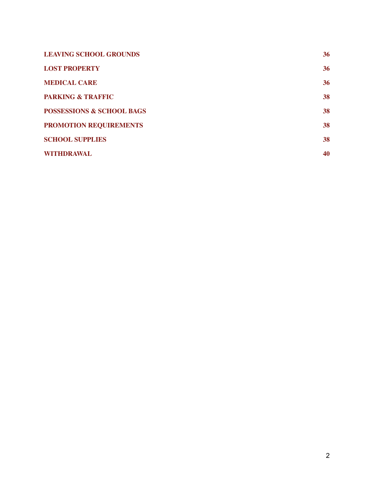| <b>LEAVING SCHOOL GROUNDS</b>        | 36 |
|--------------------------------------|----|
| <b>LOST PROPERTY</b>                 | 36 |
| <b>MEDICAL CARE</b>                  | 36 |
| <b>PARKING &amp; TRAFFIC</b>         | 38 |
| <b>POSSESSIONS &amp; SCHOOL BAGS</b> | 38 |
| <b>PROMOTION REQUIREMENTS</b>        | 38 |
| <b>SCHOOL SUPPLIES</b>               | 38 |
| <b>WITHDRAWAL</b>                    | 40 |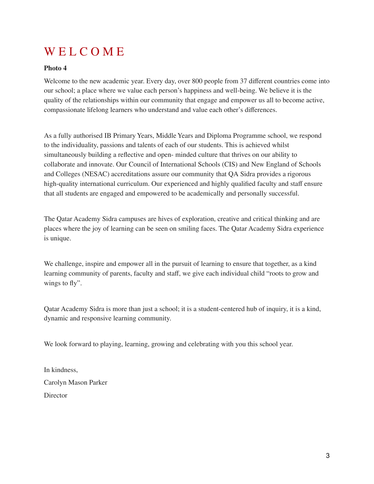## <span id="page-3-0"></span>WEL COME

#### **Photo 4**

Welcome to the new academic year. Every day, over 800 people from 37 different countries come into our school; a place where we value each person's happiness and well-being. We believe it is the quality of the relationships within our community that engage and empower us all to become active, compassionate lifelong learners who understand and value each other's differences.

As a fully authorised IB Primary Years, Middle Years and Diploma Programme school, we respond to the individuality, passions and talents of each of our students. This is achieved whilst simultaneously building a reflective and open- minded culture that thrives on our ability to collaborate and innovate. Our Council of International Schools (CIS) and New England of Schools and Colleges (NESAC) accreditations assure our community that QA Sidra provides a rigorous high-quality international curriculum. Our experienced and highly qualified faculty and staff ensure that all students are engaged and empowered to be academically and personally successful.

The Qatar Academy Sidra campuses are hives of exploration, creative and critical thinking and are places where the joy of learning can be seen on smiling faces. The Qatar Academy Sidra experience is unique.

We challenge, inspire and empower all in the pursuit of learning to ensure that together, as a kind learning community of parents, faculty and staff, we give each individual child "roots to grow and wings to fly".

Qatar Academy Sidra is more than just a school; it is a student-centered hub of inquiry, it is a kind, dynamic and responsive learning community.

We look forward to playing, learning, growing and celebrating with you this school year.

In kindness, Carolyn Mason Parker **Director**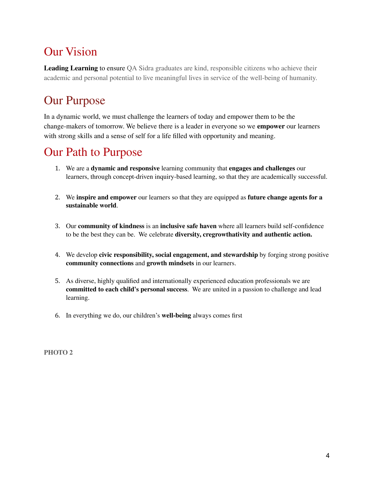## Our Vision

**Leading Learning** to ensure QA Sidra graduates are kind, responsible citizens who achieve their academic and personal potential to live meaningful lives in service of the well-being of humanity.

## Our Purpose

In a dynamic world, we must challenge the learners of today and empower them to be the change-makers of tomorrow. We believe there is a leader in everyone so we **empower** our learners with strong skills and a sense of self for a life filled with opportunity and meaning.

### Our Path to Purpose

- 1. We are a **dynamic and responsive** learning community that **engages and challenges** our learners, through concept-driven inquiry-based learning, so that they are academically successful.
- 2. We **inspire and empower** our learners so that they are equipped as **future change agents for a sustainable world**.
- 3. Our **community of kindness** is an **inclusive safe haven** where all learners build self-confidence to be the best they can be. We celebrate **diversity, cregrowthativity and authentic action.**
- 4. We develop **civic responsibility, social engagement, and stewardship** by forging strong positive **community connections** and **growth mindsets** in our learners.
- 5. As diverse, highly qualified and internationally experienced education professionals we are **committed to each child's personal success**. We are united in a passion to challenge and lead learning.
- 6. In everything we do, our children's **well-being** always comes first

**PHOTO 2**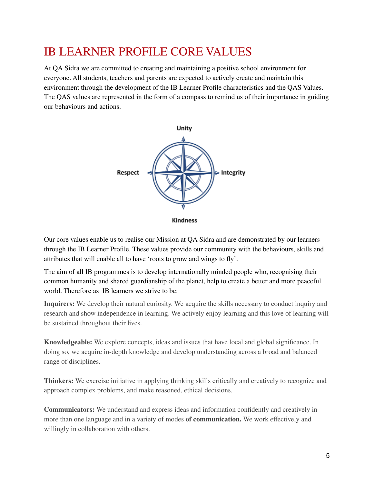### <span id="page-5-0"></span>IB LEARNER PROFILE CORE VALUES

At QA Sidra we are committed to creating and maintaining a positive school environment for everyone. All students, teachers and parents are expected to actively create and maintain this environment through the development of the IB Learner Profile characteristics and the QAS Values. The QAS values are represented in the form of a compass to remind us of their importance in guiding our behaviours and actions.



**Kindness** 

Our core values enable us to realise our Mission at QA Sidra and are demonstrated by our learners through the IB Learner Profile. These values provide our community with the behaviours, skills and attributes that will enable all to have 'roots to grow and wings to fly'.

The aim of all IB programmes is to develop internationally minded people who, recognising their common humanity and shared guardianship of the planet, help to create a better and more peaceful world. Therefore as IB learners we strive to be:

**Inquirers:** We develop their natural curiosity. We acquire the skills necessary to conduct inquiry and research and show independence in learning. We actively enjoy learning and this love of learning will be sustained throughout their lives.

**Knowledgeable:** We explore concepts, ideas and issues that have local and global significance. In doing so, we acquire in-depth knowledge and develop understanding across a broad and balanced range of disciplines.

**Thinkers:** We exercise initiative in applying thinking skills critically and creatively to recognize and approach complex problems, and make reasoned, ethical decisions.

**Communicators:** We understand and express ideas and information confidently and creatively in more than one language and in a variety of modes **of communication.** We work effectively and willingly in collaboration with others.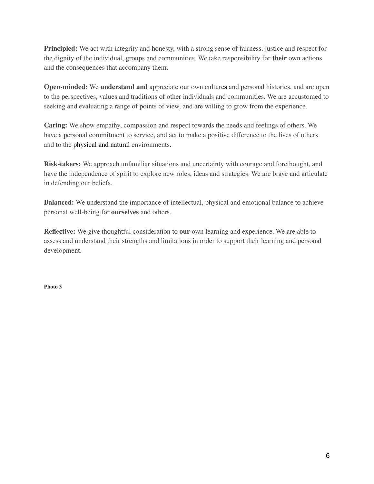**Principled:** We act with integrity and honesty, with a strong sense of fairness, justice and respect for the dignity of the individual, groups and communities. We take responsibility for **their** own actions and the consequences that accompany them.

**Open-minded:** We **understand and** appreciate our own culture**s** and personal histories, and are open to the perspectives, values and traditions of other individuals and communities. We are accustomed to seeking and evaluating a range of points of view, and are willing to grow from the experience.

**Caring:** We show empathy, compassion and respect towards the needs and feelings of others. We have a personal commitment to service, and act to make a positive difference to the lives of others and to the physical and natural environments.

**Risk-takers:** We approach unfamiliar situations and uncertainty with courage and forethought, and have the independence of spirit to explore new roles, ideas and strategies. We are brave and articulate in defending our beliefs.

**Balanced:** We understand the importance of intellectual, physical and emotional balance to achieve personal well-being for **ourselves** and others.

**Reflective:** We give thoughtful consideration to **our** own learning and experience. We are able to assess and understand their strengths and limitations in order to support their learning and personal development.

**Photo 3**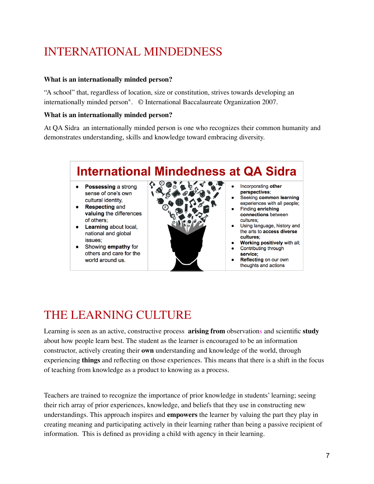## <span id="page-7-0"></span>INTERNATIONAL MINDEDNESS

#### **What is an internationally minded person?**

"A school" that, regardless of location, size or constitution, strives towards developing an internationally minded person". © International Baccalaureate Organization 2007.

#### **What is an internationally minded person?**

At QA Sidra an internationally minded person is one who recognizes their common humanity and demonstrates understanding, skills and knowledge toward embracing diversity.



## <span id="page-7-1"></span>THE LEARNING CULTURE

Learning is seen as an active, constructive process **arising from** observations and scientific **study** about how people learn best. The student as the learner is encouraged to be an information constructor, actively creating their **own** understanding and knowledge of the world, through experiencing **things** and reflecting on those experiences. This means that there is a shift in the focus of teaching from knowledge as a product to knowing as a process.

Teachers are trained to recognize the importance of prior knowledge in students' learning; seeing their rich array of prior experiences, knowledge, and beliefs that they use in constructing new understandings. This approach inspires and **empowers** the learner by valuing the part they play in creating meaning and participating actively in their learning rather than being a passive recipient of information. This is defined as providing a child with agency in their learning.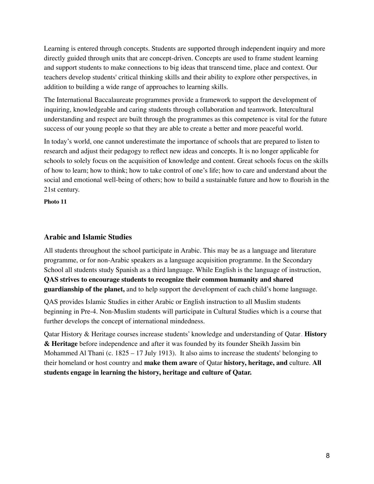Learning is entered through concepts. Students are supported through independent inquiry and more directly guided through units that are concept-driven. Concepts are used to frame student learning and support students to make connections to big ideas that transcend time, place and context. Our teachers develop students' critical thinking skills and their ability to explore other perspectives, in addition to building a wide range of approaches to learning skills.

The International Baccalaureate programmes provide a framework to support the development of inquiring, knowledgeable and caring students through collaboration and teamwork. Intercultural understanding and respect are built through the programmes as this competence is vital for the future success of our young people so that they are able to create a better and more peaceful world.

In today's world, one cannot underestimate the importance of schools that are prepared to listen to research and adjust their pedagogy to reflect new ideas and concepts. It is no longer applicable for schools to solely focus on the acquisition of knowledge and content. Great schools focus on the skills of how to learn; how to think; how to take control of one's life; how to care and understand about the social and emotional well-being of others; how to build a sustainable future and how to flourish in the 21st century.

**Photo 11**

#### **Arabic and Islamic Studies**

All students throughout the school participate in Arabic. This may be as a language and literature programme, or for non-Arabic speakers as a language acquisition programme. In the Secondary School all students study Spanish as a third language. While English is the language of instruction, **QAS strives to encourage students to recognize their common humanity and shared guardianship of the planet,** and to help support the development of each child's home language.

QAS provides Islamic Studies in either Arabic or English instruction to all Muslim students beginning in Pre-4. Non-Muslim students will participate in Cultural Studies which is a course that further develops the concept of international mindedness.

Qatar History & Heritage courses increase students' knowledge and understanding of Qatar. **History & Heritage** before independence and after it was founded by its founder Sheikh Jassim bin Mohammed Al Thani (c.  $1825 - 17$  July 1913). It also aims to increase the students' belonging to their homeland or host country and **make them aware** of Qatar **history, heritage, and** culture. **All students engage in learning the history, heritage and culture of Qatar.**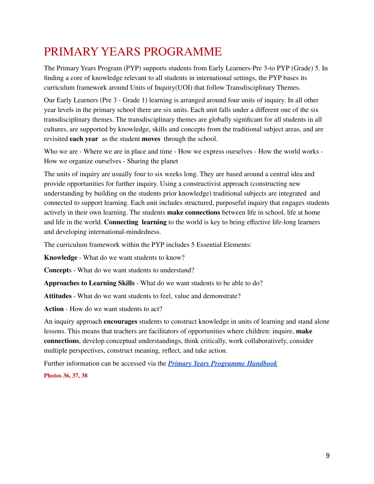## <span id="page-9-0"></span>PRIMARY YEARS PROGRAMME

The Primary Years Program (PYP) supports students from Early Learners-Pre 3-to PYP (Grade) 5. In finding a core of knowledge relevant to all students in international settings, the PYP bases its curriculum framework around Units of Inquiry(UOI) that follow Transdisciplinary Themes.

Our Early Learners (Pre 3 - Grade 1) learning is arranged around four units of inquiry. In all other year levels in the primary school there are six units. Each unit falls under a different one of the six transdisciplinary themes. The transdisciplinary themes are globally significant for all students in all cultures, are supported by knowledge, skills and concepts from the traditional subject areas, and are revisited **each year** as the student **moves** through the school.

Who we are - Where we are in place and time - How we express ourselves - How the world works - How we organize ourselves - Sharing the planet

The units of inquiry are usually four to six weeks long. They are based around a central idea and provide opportunities for further inquiry. Using a constructivist approach (constructing new understanding by building on the students prior knowledge) traditional subjects are integrated and connected to support learning. Each unit includes structured, purposeful inquiry that engages students actively in their own learning. The students **make connections** between life in school, life at home and life in the world. **Connecting learning** to the world is key to being effective life-long learners and developing international-mindedness.

The curriculum framework within the PYP includes 5 Essential Elements:

**Knowledge** - What do we want students to know?

**Concept**s - What do we want students to understand?

**Approaches to Learning Skills** - What do we want students to be able to do?

**Attitudes** - What do we want students to feel, value and demonstrate?

**Action** - How do we want students to act?

An inquiry approach **encourages** students to construct knowledge in units of learning and stand alone lessons. This means that teachers are facilitators of opportunities where children: inquire, **make connections**, develop conceptual understandings, think critically, work collaboratively, consider multiple perspectives, construct meaning, reflect, and take action.

Further information can be accessed via the *Primary Years [Programme](https://drive.google.com/file/d/1g0nFtOLoygERYyPF4JFxdaHvqzb-DYgV/view?usp=sharing) Handbook*

**Photos 36, 37, 38**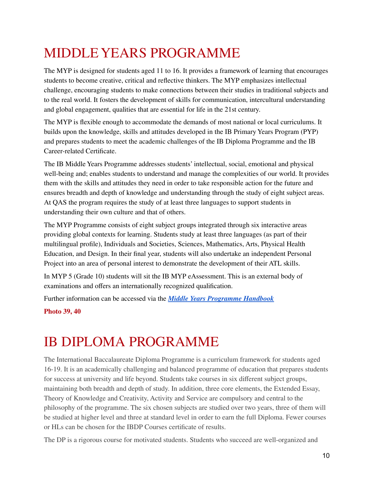## <span id="page-10-0"></span>MIDDLE YEARS PROGRAMME

The MYP is designed for students aged 11 to 16. It provides a framework of learning that encourages students to become creative, critical and reflective thinkers. The MYP emphasizes intellectual challenge, encouraging students to make connections between their studies in traditional subjects and to the real world. It fosters the development of skills for communication, intercultural understanding and global engagement, qualities that are essential for life in the 21st century.

The MYP is flexible enough to accommodate the demands of most national or local curriculums. It builds upon the knowledge, skills and attitudes developed in the IB Primary Years Program (PYP) and prepares students to meet the academic challenges of the IB Diploma Programme and the IB Career-related Certificate.

The IB Middle Years Programme addresses students' intellectual, social, emotional and physical well-being and; enables students to understand and manage the complexities of our world. It provides them with the skills and attitudes they need in order to take responsible action for the future and ensures breadth and depth of knowledge and understanding through the study of eight subject areas. At QAS the program requires the study of at least three languages to support students in understanding their own culture and that of others.

The MYP Programme consists of eight subject groups integrated through six interactive areas providing global contexts for learning. Students study at least three languages (as part of their multilingual profile), Individuals and Societies, Sciences, Mathematics, Arts, Physical Health Education, and Design. In their final year, students will also undertake an independent Personal Project into an area of personal interest to demonstrate the development of their ATL skills.

In MYP 5 (Grade 10) students will sit the IB MYP eAssessment. This is an external body of examinations and offers an internationally recognized qualification.

Further information can be accessed via the *Middle Years [Programme](https://qasidra.com.qa/-/media/Images---QAS-2020/Curriculum-Guides/myp-Arabic-and-English.ashx?la=en&hash=22C5153E1B8C1866A2BCA299FA4AE4C9FB0E1AC1) Handbook*

<span id="page-10-1"></span>**Photo 39, 40**

## IB DIPLOMA PROGRAMME

The International Baccalaureate Diploma Programme is a curriculum framework for students aged 16-19. It is an academically challenging and balanced programme of education that prepares students for success at university and life beyond. Students take courses in six different subject groups, maintaining both breadth and depth of study. In addition, three core elements, the Extended Essay, Theory of Knowledge and Creativity, Activity and Service are compulsory and central to the philosophy of the programme. The six chosen subjects are studied over two years, three of them will be studied at higher level and three at standard level in order to earn the full Diploma. Fewer courses or HLs can be chosen for the IBDP Courses certificate of results.

The DP is a rigorous course for motivated students. Students who succeed are well-organized and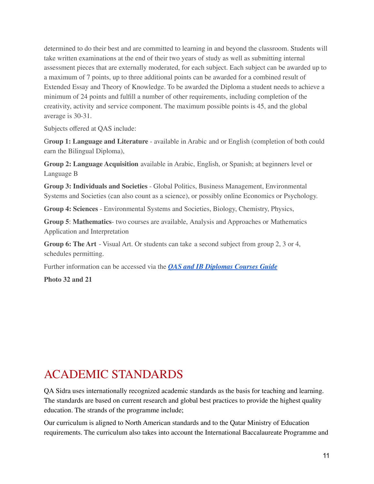determined to do their best and are committed to learning in and beyond the classroom. Students will take written examinations at the end of their two years of study as well as submitting internal assessment pieces that are externally moderated, for each subject. Each subject can be awarded up to a maximum of 7 points, up to three additional points can be awarded for a combined result of Extended Essay and Theory of Knowledge. To be awarded the Diploma a student needs to achieve a minimum of 24 points and fulfill a number of other requirements, including completion of the creativity, activity and service component. The maximum possible points is 45, and the global average is 30-31.

Subjects offered at QAS include:

G**roup 1: Language and Literature** - available in Arabic and or English (completion of both could earn the Bilingual Diploma),

**Group 2: Language Acquisition** available in Arabic, English, or Spanish; at beginners level or Language B

**Group 3: Individuals and Societies** - Global Politics, Business Management, Environmental Systems and Societies (can also count as a science), or possibly online Economics or Psychology.

**Group 4: Sciences** - Environmental Systems and Societies, Biology, Chemistry, Physics,

**Group 5**: **Mathematics**- two courses are available, Analysis and Approaches or Mathematics Application and Interpretation

**Group 6: The Art** - Visual Art. Or students can take a second subject from group 2, 3 or 4, schedules permitting.

Further information can be accessed via the *QAS and IB [Diplomas](https://drive.google.com/file/d/1fAjw_A2kVwYqA-mxx_Nw5eCDPKD29T8I/view?usp=sharing) Courses Guide*

<span id="page-11-0"></span>**Photo 32 and 21**

### ACADEMIC STANDARDS

QA Sidra uses internationally recognized academic standards as the basis for teaching and learning. The standards are based on current research and global best practices to provide the highest quality education. The strands of the programme include;

Our curriculum is aligned to North American standards and to the Qatar Ministry of Education requirements. The curriculum also takes into account the International Baccalaureate Programme and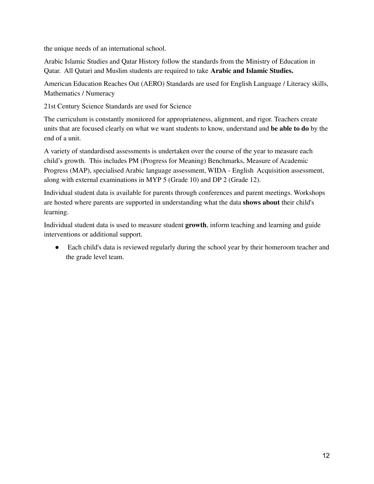the unique needs of an international school.

Arabic Islamic Studies and Qatar History follow the standards from the Ministry of Education in Qatar. All Qatari and Muslim students are required to take **Arabic and Islamic Studies.**

American Education Reaches Out (AERO) Standards are used for English Language / Literacy skills, Mathematics / Numeracy

21st Century Science Standards are used for Science

The curriculum is constantly monitored for appropriateness, alignment, and rigor. Teachers create units that are focused clearly on what we want students to know, understand and **be able to do** by the end of a unit.

A variety of standardised assessments is undertaken over the course of the year to measure each child's growth. This includes PM (Progress for Meaning) Benchmarks, Measure of Academic Progress (MAP), specialised Arabic language assessment, WIDA - English Acquisition assessment, along with external examinations in MYP 5 (Grade 10) and DP 2 (Grade 12).

Individual student data is available for parents through conferences and parent meetings. Workshops are hosted where parents are supported in understanding what the data **shows about** their child's learning.

Individual student data is used to measure student **growth**, inform teaching and learning and guide interventions or additional support.

• Each child's data is reviewed regularly during the school year by their homeroom teacher and the grade level team.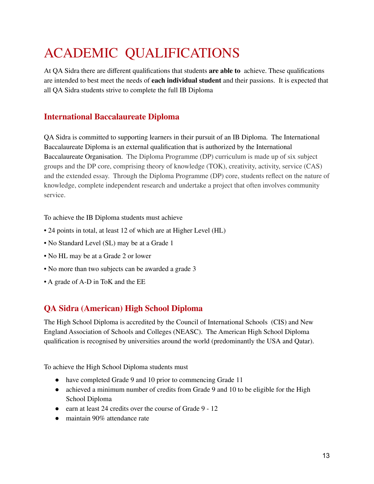## <span id="page-13-0"></span>ACADEMIC QUALIFICATIONS

At QA Sidra there are different qualifications that students **are able to** achieve. These qualifications are intended to best meet the needs of **each individual student** and their passions. It is expected that all QA Sidra students strive to complete the full IB Diploma

### **International Baccalaureate Diploma**

QA Sidra is committed to supporting learners in their pursuit of an IB Diploma. The International Baccalaureate Diploma is an external qualification that is authorized by the International Baccalaureate Organisation. The Diploma Programme (DP) curriculum is made up of six subject groups and the DP core, comprising theory of knowledge (TOK), creativity, activity, service (CAS) and the extended essay. Through the Diploma Programme (DP) core, students reflect on the nature of knowledge, complete independent research and undertake a project that often involves community service.

To achieve the IB Diploma students must achieve

- 24 points in total, at least 12 of which are at Higher Level (HL)
- No Standard Level (SL) may be at a Grade 1
- No HL may be at a Grade 2 or lower
- No more than two subjects can be awarded a grade 3
- A grade of A-D in ToK and the EE

### **QA Sidra (American) High School Diploma**

The High School Diploma is accredited by the Council of International Schools (CIS) and New England Association of Schools and Colleges (NEASC). The American High School Diploma qualification is recognised by universities around the world (predominantly the USA and Qatar).

To achieve the High School Diploma students must

- have completed Grade 9 and 10 prior to commencing Grade 11
- achieved a minimum number of credits from Grade 9 and 10 to be eligible for the High School Diploma
- earn at least 24 credits over the course of Grade 9 12
- maintain 90% attendance rate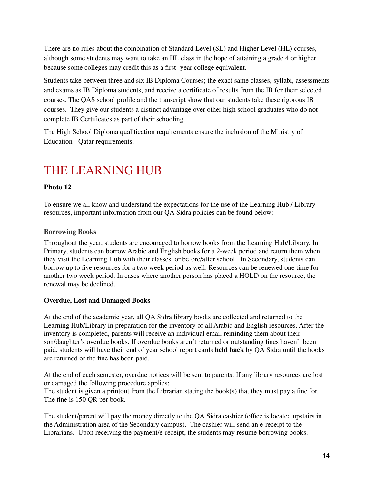There are no rules about the combination of Standard Level (SL) and Higher Level (HL) courses, although some students may want to take an HL class in the hope of attaining a grade 4 or higher because some colleges may credit this as a first- year college equivalent.

Students take between three and six IB Diploma Courses; the exact same classes, syllabi, assessments and exams as IB Diploma students, and receive a certificate of results from the IB for their selected courses. The QAS school profile and the transcript show that our students take these rigorous IB courses. They give our students a distinct advantage over other high school graduates who do not complete IB Certificates as part of their schooling.

The High School Diploma qualification requirements ensure the inclusion of the Ministry of Education - Qatar requirements.

### <span id="page-14-0"></span>THE LEARNING HUB

### **Photo 12**

To ensure we all know and understand the expectations for the use of the Learning Hub / Library resources, important information from our QA Sidra policies can be found below:

#### **Borrowing Books**

Throughout the year, students are encouraged to borrow books from the Learning Hub/Library. In Primary, students can borrow Arabic and English books for a 2-week period and return them when they visit the Learning Hub with their classes, or before/after school. In Secondary, students can borrow up to five resources for a two week period as well. Resources can be renewed one time for another two week period. In cases where another person has placed a HOLD on the resource, the renewal may be declined.

#### **Overdue, Lost and Damaged Books**

At the end of the academic year, all QA Sidra library books are collected and returned to the Learning Hub/Library in preparation for the inventory of all Arabic and English resources. After the inventory is completed, parents will receive an individual email reminding them about their son/daughter's overdue books. If overdue books aren't returned or outstanding fines haven't been paid, students will have their end of year school report cards **held back** by QA Sidra until the books are returned or the fine has been paid.

At the end of each semester, overdue notices will be sent to parents. If any library resources are lost or damaged the following procedure applies:

The student is given a printout from the Librarian stating the book(s) that they must pay a fine for. The fine is 150 QR per book.

The student/parent will pay the money directly to the QA Sidra cashier (office is located upstairs in the Administration area of the Secondary campus). The cashier will send an e-receipt to the Librarians. Upon receiving the payment/e-receipt, the students may resume borrowing books.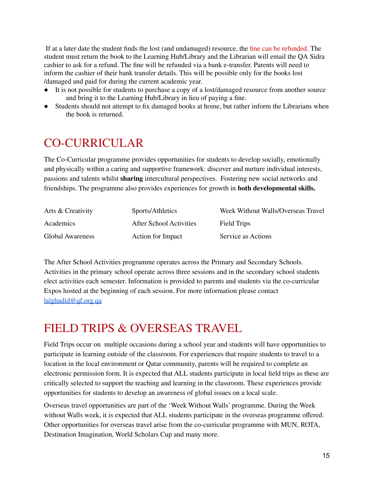If at a later date the student finds the lost (and undamaged) resource, the fine can be refunded. The student must return the book to the Learning Hub/Library and the Librarian will email the QA Sidra cashier to ask for a refund. The fine will be refunded via a bank e-transfer. Parents will need to inform the cashier of their bank transfer details. This will be possible only for the books lost /damaged and paid for during the current academic year.

- It is not possible for students to purchase a copy of a lost/damaged resource from another source and bring it to the Learning Hub/Library in lieu of paying a fine.
- Students should not attempt to fix damaged books at home, but rather inform the Librarians when the book is returned.

### <span id="page-15-0"></span>CO-CURRICULAR

The Co-Curricular programme provides opportunities for students to develop socially, emotionally and physically within a caring and supportive framework; discover and nurture individual interests, passions and talents whilst **sharing** intercultural perspectives. Fostering new social networks and friendships. The programme also provides experiences for growth in **both developmental skills.**

| Arts & Creativity       | Sports/Athletics        | Week Without Walls/Overseas Travel |
|-------------------------|-------------------------|------------------------------------|
| Academics               | After School Activities | Field Trips                        |
| <b>Global Awareness</b> | Action for Impact       | Service as Actions                 |

The After School Activities programme operates across the Primary and Secondary Schools. Activities in the primary school operate across three sessions and in the secondary school students elect activities each semester. Information is provided to parents and students via the co-curricular Expos hosted at the beginning of each session. For more information please contact [lalghadid@qf.org.qa](mailto:lalghadid@qf.org.qa)

### <span id="page-15-1"></span>FIELD TRIPS & OVERSEAS TRAVEL

Field Trips occur on multiple occasions during a school year and students will have opportunities to participate in learning outside of the classroom. For experiences that require students to travel to a location in the local environment or Qatar community, parents will be required to complete an electronic permission form. It is expected that ALL students participate in local field trips as these are critically selected to support the teaching and learning in the classroom. These experiences provide opportunities for students to develop an awareness of global issues on a local scale.

Overseas travel opportunities are part of the 'Week Without Walls' programme. During the Week without Walls week, it is expected that ALL students participate in the overseas programme offered. Other opportunities for overseas travel arise from the co-curricular programme with MUN, ROTA, Destination Imagination, World Scholars Cup and many more.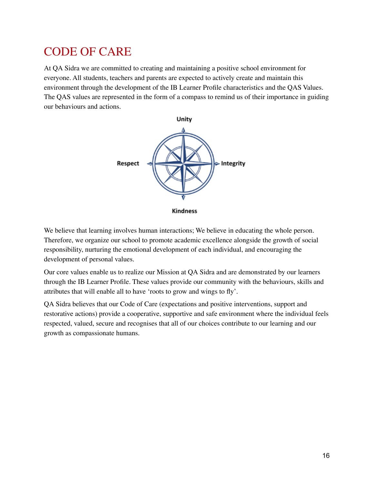### <span id="page-16-0"></span>CODE OF CARE

At QA Sidra we are committed to creating and maintaining a positive school environment for everyone. All students, teachers and parents are expected to actively create and maintain this environment through the development of the IB Learner Profile characteristics and the QAS Values. The QAS values are represented in the form of a compass to remind us of their importance in guiding our behaviours and actions.



**Kindness** 

We believe that learning involves human interactions; We believe in educating the whole person. Therefore, we organize our school to promote academic excellence alongside the growth of social responsibility, nurturing the emotional development of each individual, and encouraging the development of personal values.

Our core values enable us to realize our Mission at QA Sidra and are demonstrated by our learners through the IB Learner Profile. These values provide our community with the behaviours, skills and attributes that will enable all to have 'roots to grow and wings to fly'.

QA Sidra believes that our Code of Care (expectations and positive interventions, support and restorative actions) provide a cooperative, supportive and safe environment where the individual feels respected, valued, secure and recognises that all of our choices contribute to our learning and our growth as compassionate humans.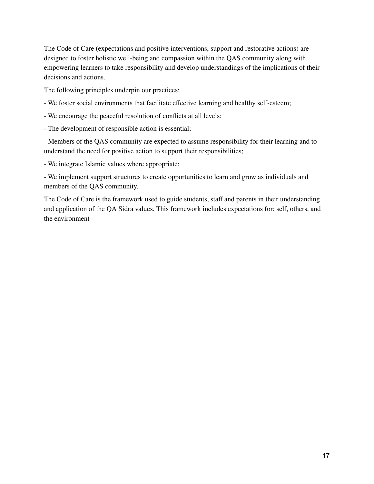The Code of Care (expectations and positive interventions, support and restorative actions) are designed to foster holistic well-being and compassion within the QAS community along with empowering learners to take responsibility and develop understandings of the implications of their decisions and actions.

The following principles underpin our practices;

- We foster social environments that facilitate effective learning and healthy self-esteem;
- We encourage the peaceful resolution of conflicts at all levels;
- The development of responsible action is essential;

- Members of the QAS community are expected to assume responsibility for their learning and to understand the need for positive action to support their responsibilities;

- We integrate Islamic values where appropriate;

- We implement support structures to create opportunities to learn and grow as individuals and members of the QAS community.

The Code of Care is the framework used to guide students, staff and parents in their understanding and application of the QA Sidra values. This framework includes expectations for; self, others, and the environment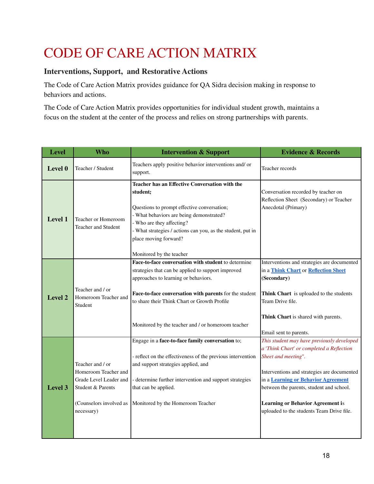## CODE OF CARE ACTION MATRIX

### **Interventions, Support, and Restorative Actions**

The Code of Care Action Matrix provides guidance for QA Sidra decision making in response to behaviors and actions.

The Code of Care Action Matrix provides opportunities for individual student growth, maintains a focus on the student at the center of the process and relies on strong partnerships with parents.

| <b>Level</b> | <b>Who</b>                                                                                                                       | <b>Intervention &amp; Support</b>                                                                                                                                                                                                                                                                                 | <b>Evidence &amp; Records</b>                                                                                                                                                                                                                                                                                                             |
|--------------|----------------------------------------------------------------------------------------------------------------------------------|-------------------------------------------------------------------------------------------------------------------------------------------------------------------------------------------------------------------------------------------------------------------------------------------------------------------|-------------------------------------------------------------------------------------------------------------------------------------------------------------------------------------------------------------------------------------------------------------------------------------------------------------------------------------------|
| Level 0      | Teacher / Student                                                                                                                | Teachers apply positive behavior interventions and/ or<br>support.                                                                                                                                                                                                                                                | Teacher records                                                                                                                                                                                                                                                                                                                           |
| Level 1      | Teacher or Homeroom<br><b>Teacher and Student</b>                                                                                | Teacher has an Effective Conversation with the<br>student:<br>Questions to prompt effective conversation;<br>- What behaviors are being demonstrated?<br>- Who are they affecting?<br>- What strategies / actions can you, as the student, put in<br>place moving forward?<br>Monitored by the teacher            | Conversation recorded by teacher on<br>Reflection Sheet (Secondary) or Teacher<br>Anecdotal (Primary)                                                                                                                                                                                                                                     |
| Level 2      | Teacher and / or<br>Homeroom Teacher and<br>Student                                                                              | Face-to-face conversation with student to determine<br>strategies that can be applied to support improved<br>approaches to learning or behaviors.<br>Face-to-face conversation with parents for the student<br>to share their Think Chart or Growth Profile<br>Monitored by the teacher and / or homeroom teacher | Interventions and strategies are documented<br>in a Think Chart or Reflection Sheet<br>(Secondary)<br>Think Chart is uploaded to the students<br>Team Drive file.<br>Think Chart is shared with parents.<br>Email sent to parents.                                                                                                        |
| Level 3      | Teacher and / or<br>Homeroom Teacher and<br>Grade Level Leader and<br>Student & Parents<br>(Counselors involved as<br>necessary) | Engage in a face-to-face family conversation to;<br>- reflect on the effectiveness of the previous intervention<br>and support strategies applied, and<br>- determine further intervention and support strategies<br>that can be applied.<br>Monitored by the Homeroom Teacher                                    | This student may have previously developed<br>a 'Think Chart' or completed a Reflection<br>Sheet and meeting".<br>Interventions and strategies are documented<br>in a Learning or Behavior Agreement<br>between the parents, student and school.<br><b>Learning or Behavior Agreement is</b><br>uploaded to the students Team Drive file. |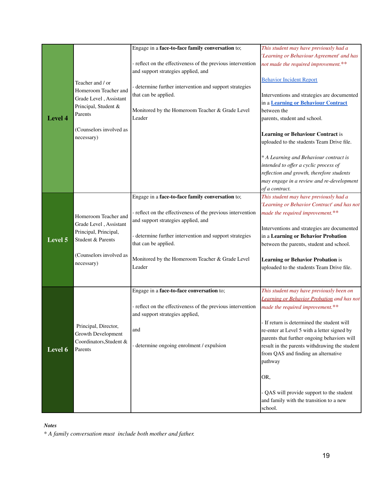|                |                         | Engage in a face-to-face family conversation to;            | This student may have previously had a            |
|----------------|-------------------------|-------------------------------------------------------------|---------------------------------------------------|
|                |                         |                                                             |                                                   |
|                |                         |                                                             | 'Learning or Behaviour Agreement' and has         |
|                |                         | - reflect on the effectiveness of the previous intervention | not made the required improvement.**              |
|                |                         | and support strategies applied, and                         |                                                   |
|                | Teacher and / or        |                                                             | <b>Behavior Incident Report</b>                   |
|                |                         | - determine further intervention and support strategies     |                                                   |
|                | Homeroom Teacher and    | that can be applied.                                        | Interventions and strategies are documented       |
|                | Grade Level, Assistant  |                                                             | in a Learning or Behaviour Contract               |
|                | Principal, Student &    | Monitored by the Homeroom Teacher & Grade Level             | between the                                       |
| Level 4        | Parents                 | Leader                                                      |                                                   |
|                |                         |                                                             | parents, student and school.                      |
|                | (Counselors involved as |                                                             |                                                   |
|                | necessary)              |                                                             | <b>Learning or Behaviour Contract is</b>          |
|                |                         |                                                             | uploaded to the students Team Drive file.         |
|                |                         |                                                             |                                                   |
|                |                         |                                                             | * A Learning and Behaviour contract is            |
|                |                         |                                                             | intended to offer a cyclic process of             |
|                |                         |                                                             | reflection and growth, therefore students         |
|                |                         |                                                             | may engage in a review and re-development         |
|                |                         |                                                             | of a contract.                                    |
|                |                         |                                                             |                                                   |
|                |                         | Engage in a face-to-face family conversation to;            | This student may have previously had a            |
|                |                         |                                                             | 'Learning or Behavior Contract' and has not       |
|                | Homeroom Teacher and    | - reflect on the effectiveness of the previous intervention | made the required improvement.**                  |
|                | Grade Level, Assistant  | and support strategies applied, and                         |                                                   |
|                |                         |                                                             | Interventions and strategies are documented       |
|                | Principal, Principal,   | - determine further intervention and support strategies     | in a Learning or Behavior Probation               |
| <b>Level 5</b> | Student & Parents       | that can be applied.                                        | between the parents, student and school.          |
|                |                         |                                                             |                                                   |
|                | (Counselors involved as | Monitored by the Homeroom Teacher & Grade Level             | <b>Learning or Behavior Probation is</b>          |
|                | necessary)              | Leader                                                      | uploaded to the students Team Drive file.         |
|                |                         |                                                             |                                                   |
|                |                         |                                                             |                                                   |
|                |                         |                                                             |                                                   |
|                |                         | Engage in a face-to-face conversation to;                   | This student may have previously been on          |
|                |                         |                                                             | <b>Learning or Behavior Probation and has not</b> |
|                |                         | - reflect on the effectiveness of the previous intervention | made the required improvement.**                  |
|                |                         | and support strategies applied,                             |                                                   |
|                |                         |                                                             | - If return is determined the student will        |
|                | Principal, Director,    | and                                                         | re-enter at Level 5 with a letter signed by       |
|                | Growth Development      |                                                             | parents that further ongoing behaviors will       |
|                | Coordinators, Student & | - determine ongoing enrolment / expulsion                   | result in the parents withdrawing the student     |
| Level 6        | Parents                 |                                                             |                                                   |
|                |                         |                                                             | from QAS and finding an alternative               |
|                |                         |                                                             | pathway                                           |
|                |                         |                                                             |                                                   |
|                |                         |                                                             | OR,                                               |
|                |                         |                                                             |                                                   |
|                |                         |                                                             | QAS will provide support to the student           |
|                |                         |                                                             | and family with the transition to a new           |
|                |                         |                                                             | school.                                           |
|                |                         |                                                             |                                                   |

#### *Notes*

*\* A family conversation must include both mother and father.*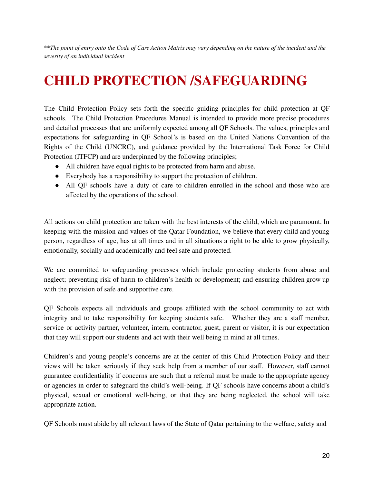\*\*The point of entry onto the Code of Care Action Matrix may vary depending on the nature of the incident and the *severity of an individual incident*

## **CHILD PROTECTION /SAFEGUARDING**

<span id="page-20-0"></span>The Child Protection Policy sets forth the specific guiding principles for child protection at QF schools. The Child Protection Procedures Manual is intended to provide more precise procedures and detailed processes that are uniformly expected among all QF Schools. The values, principles and expectations for safeguarding in QF School's is based on the United Nations Convention of the Rights of the Child (UNCRC), and guidance provided by the International Task Force for Child Protection (ITFCP) and are underpinned by the following principles;

- All children have equal rights to be protected from harm and abuse.
- Everybody has a responsibility to support the protection of children.
- All QF schools have a duty of care to children enrolled in the school and those who are affected by the operations of the school.

All actions on child protection are taken with the best interests of the child, which are paramount. In keeping with the mission and values of the Qatar Foundation, we believe that every child and young person, regardless of age, has at all times and in all situations a right to be able to grow physically, emotionally, socially and academically and feel safe and protected.

We are committed to safeguarding processes which include protecting students from abuse and neglect; preventing risk of harm to children's health or development; and ensuring children grow up with the provision of safe and supportive care.

QF Schools expects all individuals and groups affiliated with the school community to act with integrity and to take responsibility for keeping students safe. Whether they are a staff member, service or activity partner, volunteer, intern, contractor, guest, parent or visitor, it is our expectation that they will support our students and act with their well being in mind at all times.

Children's and young people's concerns are at the center of this Child Protection Policy and their views will be taken seriously if they seek help from a member of our staff. However, staff cannot guarantee confidentiality if concerns are such that a referral must be made to the appropriate agency or agencies in order to safeguard the child's well-being. If QF schools have concerns about a child's physical, sexual or emotional well-being, or that they are being neglected, the school will take appropriate action.

QF Schools must abide by all relevant laws of the State of Qatar pertaining to the welfare, safety and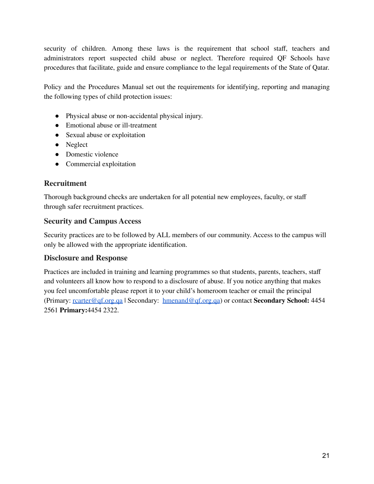security of children. Among these laws is the requirement that school staff, teachers and administrators report suspected child abuse or neglect. Therefore required QF Schools have procedures that facilitate, guide and ensure compliance to the legal requirements of the State of Qatar.

Policy and the Procedures Manual set out the requirements for identifying, reporting and managing the following types of child protection issues:

- Physical abuse or non-accidental physical injury.
- Emotional abuse or ill-treatment
- Sexual abuse or exploitation
- Neglect
- Domestic violence
- Commercial exploitation

### **Recruitment**

Thorough background checks are undertaken for all potential new employees, faculty, or staff through safer recruitment practices.

### **Security and Campus Access**

Security practices are to be followed by ALL members of our community. Access to the campus will only be allowed with the appropriate identification.

### **Disclosure and Response**

Practices are included in training and learning programmes so that students, parents, teachers, staff and volunteers all know how to respond to a disclosure of abuse. If you notice anything that makes you feel uncomfortable please report it to your child's homeroom teacher or email the principal (Primary: [rcarter@qf.org.qa](mailto:rcarter@qf.org.qa) | Secondary: [hmenand@qf.org.qa](mailto:hmenand@qf.org.qa)) or contact **Secondary School:** 4454 2561 **Primary:**4454 2322.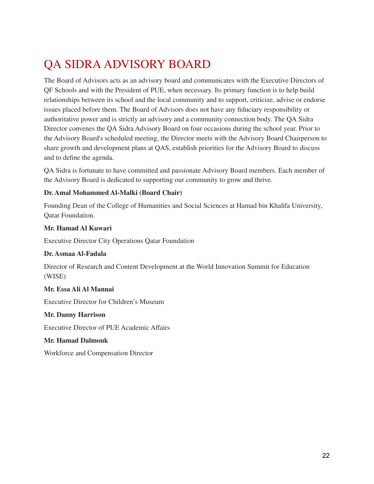## <span id="page-22-0"></span>QA SIDRA ADVISORY BOARD

The Board of Advisors acts as an advisory board and communicates with the Executive Directors of QF Schools and with the President of PUE, when necessary. Its primary function is to help build relationships between its school and the local community and to support, criticize, advise or endorse issues placed before them. The Board of Advisors does not have any fiduciary responsibility or authoritative power and is strictly an advisory and a community connection body. The QA Sidra Director convenes the QA Sidra Advisory Board on four occasions during the school year. Prior to the Advisory Board's scheduled meeting, the Director meets with the Advisory Board Chairperson to share growth and development plans at QAS, establish priorities for the Advisory Board to discuss and to define the agenda.

QA Sidra is fortunate to have committed and passionate Advisory Board members. Each member of the Advisory Board is dedicated to supporting our community to grow and thrive.

#### **Dr. Amal Mohammed Al-Malki (Board Chair)**

Founding Dean of the College of Humanities and Social Sciences at Hamad bin Khalifa University, Qatar Foundation.

#### **Mr. Hamad Al Kuwari**

Executive Director City Operations Qatar Foundation

#### **Dr. Asmaa Al-Fadala**

Director of Research and Content Development at the World Innovation Summit for Education (WISE)

#### **Mr. Essa Ali Al Mannai**

Executive Director for Children's Museum

#### **Mr. Danny Harrison**

Executive Director of PUE Academic Affairs

#### **Mr. Hamad Dalmouk**

Workforce and Compensation Director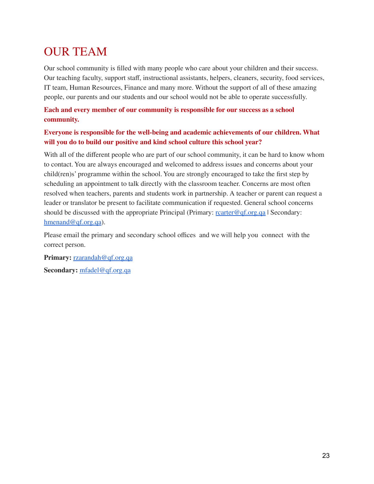## <span id="page-23-0"></span>OUR TEAM

Our school community is filled with many people who care about your children and their success. Our teaching faculty, support staff, instructional assistants, helpers, cleaners, security, food services, IT team, Human Resources, Finance and many more. Without the support of all of these amazing people, our parents and our students and our school would not be able to operate successfully.

### **Each and every member of our community is responsible for our success as a school community.**

### **Everyone is responsible for the well-being and academic achievements of our children. What will you do to build our positive and kind school culture this school year?**

With all of the different people who are part of our school community, it can be hard to know whom to contact. You are always encouraged and welcomed to address issues and concerns about your child(ren)s' programme within the school. You are strongly encouraged to take the first step by scheduling an appointment to talk directly with the classroom teacher. Concerns are most often resolved when teachers, parents and students work in partnership. A teacher or parent can request a leader or translator be present to facilitate communication if requested. General school concerns should be discussed with the appropriate Principal (Primary:  $\frac{\text{rcarter@qf.org.qa}}{\text{rarter@qf.org.qa}}$  $\frac{\text{rcarter@qf.org.qa}}{\text{rarter@qf.org.qa}}$  $\frac{\text{rcarter@qf.org.qa}}{\text{rarter@qf.org.qa}}$  Secondary: [hmenand@qf.org.qa](mailto:hmenand@qf.org.qa)).

Please email the primary and secondary school offices and we will help you connect with the correct person.

**Primary:** [rzarandah@qf.org.qa](mailto:rzarandah@qf.org.qa) **Secondary:** [mfadel@qf.org.qa](mailto:mfadel@qf.org.qa)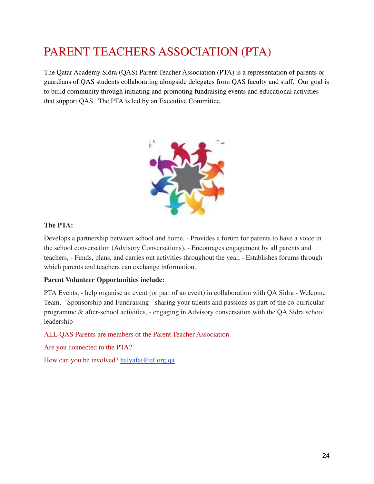## <span id="page-24-0"></span>PARENT TEACHERS ASSOCIATION (PTA)

The Qatar Academy Sidra (QAS) Parent Teacher Association (PTA) is a representation of parents or guardians of QAS students collaborating alongside delegates from QAS faculty and staff. Our goal is to build community through initiating and promoting fundraising events and educational activities that support QAS. The PTA is led by an Executive Committee.



### **The PTA:**

Develops a partnership between school and home, - Provides a forum for parents to have a voice in the school conversation (Advisory Conversations), - Encourages engagement by all parents and teachers, - Funds, plans, and carries out activities throughout the year, - Establishes forums through which parents and teachers can exchange information.

### **Parent Volunteer Opportunities include:**

PTA Events, - help organise an event (or part of an event) in collaboration with QA Sidra - Welcome Team, - Sponsorship and Fundraising - sharing your talents and passions as part of the co-curricular programme & after-school activities, - engaging in Advisory conversation with the QA Sidra school leadership

ALL QAS Parents are members of the Parent Teacher Association

Are you connected to the PTA?

How can you be involved? [halyafai@qf.org.qa](mailto:halyafai@qf.org.qa)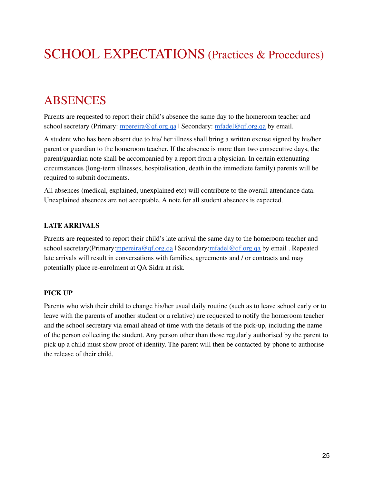## SCHOOL EXPECTATIONS (Practices & Procedures)

### <span id="page-25-0"></span>ABSENCES

Parents are requested to report their child's absence the same day to the homeroom teacher and school secretary (Primary: [mpereira@qf.org.qa](mailto:mpereira@qf.org.qa) | Secondary: [mfadel@qf.org.qa](mailto:mfadel@qf.org.qa) by email.

A student who has been absent due to his/ her illness shall bring a written excuse signed by his/her parent or guardian to the homeroom teacher. If the absence is more than two consecutive days, the parent/guardian note shall be accompanied by a report from a physician. In certain extenuating circumstances (long-term illnesses, hospitalisation, death in the immediate family) parents will be required to submit documents.

All absences (medical, explained, unexplained etc) will contribute to the overall attendance data. Unexplained absences are not acceptable. A note for all student absences is expected.

#### **LATE ARRIVALS**

Parents are requested to report their child's late arrival the same day to the homeroom teacher and school secretary(Primary:*mpereira@qf.org.qa* | Secondary:*[mfadel@qf.org.qa](mailto:mfadel@qf.org.qa)* by email . Repeated late arrivals will result in conversations with families, agreements and / or contracts and may potentially place re-enrolment at QA Sidra at risk.

#### **PICK UP**

Parents who wish their child to change his/her usual daily routine (such as to leave school early or to leave with the parents of another student or a relative) are requested to notify the homeroom teacher and the school secretary via email ahead of time with the details of the pick-up, including the name of the person collecting the student. Any person other than those regularly authorised by the parent to pick up a child must show proof of identity. The parent will then be contacted by phone to authorise the release of their child.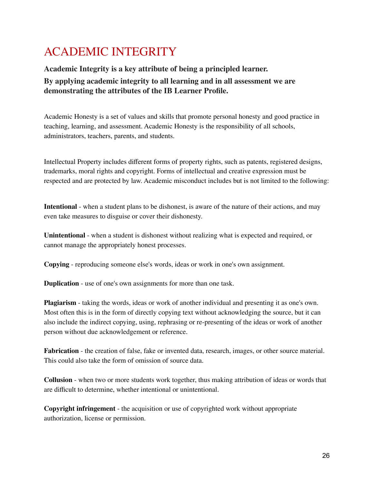## <span id="page-26-0"></span>ACADEMIC INTEGRITY

### **Academic Integrity is a key attribute of being a principled learner. By applying academic integrity to all learning and in all assessment we are demonstrating the attributes of the IB Learner Profile.**

Academic Honesty is a set of values and skills that promote personal honesty and good practice in teaching, learning, and assessment. Academic Honesty is the responsibility of all schools, administrators, teachers, parents, and students.

Intellectual Property includes different forms of property rights, such as patents, registered designs, trademarks, moral rights and copyright. Forms of intellectual and creative expression must be respected and are protected by law. Academic misconduct includes but is not limited to the following:

**Intentional** - when a student plans to be dishonest, is aware of the nature of their actions, and may even take measures to disguise or cover their dishonesty.

**Unintentional** - when a student is dishonest without realizing what is expected and required, or cannot manage the appropriately honest processes.

**Copying** - reproducing someone else's words, ideas or work in one's own assignment.

**Duplication** - use of one's own assignments for more than one task.

**Plagiarism** - taking the words, ideas or work of another individual and presenting it as one's own. Most often this is in the form of directly copying text without acknowledging the source, but it can also include the indirect copying, using, rephrasing or re-presenting of the ideas or work of another person without due acknowledgement or reference.

**Fabrication** - the creation of false, fake or invented data, research, images, or other source material. This could also take the form of omission of source data.

**Collusion** - when two or more students work together, thus making attribution of ideas or words that are difficult to determine, whether intentional or unintentional.

**Copyright infringement** - the acquisition or use of copyrighted work without appropriate authorization, license or permission.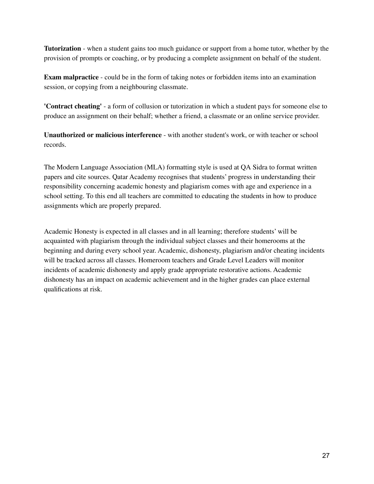**Tutorization** - when a student gains too much guidance or support from a home tutor, whether by the provision of prompts or coaching, or by producing a complete assignment on behalf of the student.

**Exam malpractice** - could be in the form of taking notes or forbidden items into an examination session, or copying from a neighbouring classmate.

**'Contract cheating'** - a form of collusion or tutorization in which a student pays for someone else to produce an assignment on their behalf; whether a friend, a classmate or an online service provider.

**Unauthorized or malicious interference** - with another student's work, or with teacher or school records.

The Modern Language Association (MLA) formatting style is used at QA Sidra to format written papers and cite sources. Qatar Academy recognises that students' progress in understanding their responsibility concerning academic honesty and plagiarism comes with age and experience in a school setting. To this end all teachers are committed to educating the students in how to produce assignments which are properly prepared.

Academic Honesty is expected in all classes and in all learning; therefore students' will be acquainted with plagiarism through the individual subject classes and their homerooms at the beginning and during every school year. Academic, dishonesty, plagiarism and/or cheating incidents will be tracked across all classes. Homeroom teachers and Grade Level Leaders will monitor incidents of academic dishonesty and apply grade appropriate restorative actions. Academic dishonesty has an impact on academic achievement and in the higher grades can place external qualifications at risk.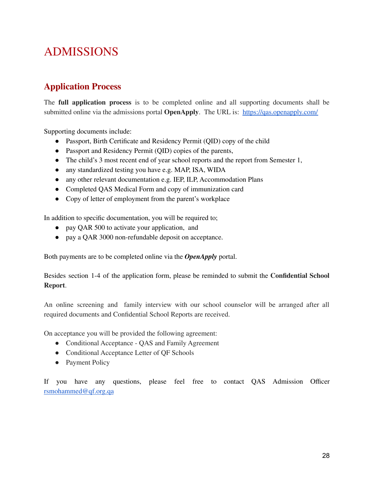## <span id="page-28-0"></span>ADMISSIONS

### **Application Process**

The **full application process** is to be completed online and all supporting documents shall be submitted online via the admissions portal **OpenApply**. The URL is: <https://qas.openapply.com/>

Supporting documents include:

- Passport, Birth Certificate and Residency Permit (QID) copy of the child
- Passport and Residency Permit (QID) copies of the parents,
- The child's 3 most recent end of year school reports and the report from Semester 1,
- any standardized testing you have e.g. MAP, ISA, WIDA
- any other relevant documentation e.g. IEP, ILP, Accommodation Plans
- Completed QAS Medical Form and copy of immunization card
- Copy of letter of employment from the parent's workplace

In addition to specific documentation, you will be required to;

- pay QAR 500 to activate your application, and
- pay a QAR 3000 non-refundable deposit on acceptance.

Both payments are to be completed online via the *OpenApply* portal.

Besides section 1-4 of the application form, please be reminded to submit the **Confidential School Report**.

An online screening and family interview with our school counselor will be arranged after all required documents and Confidential School Reports are received.

On acceptance you will be provided the following agreement:

- Conditional Acceptance QAS and Family Agreement
- Conditional Acceptance Letter of QF Schools
- Payment Policy

If you have any questions, please feel free to contact QAS Admission Officer [rsmohammed@qf.org.qa](mailto:rsmohammed@qf.org.qa)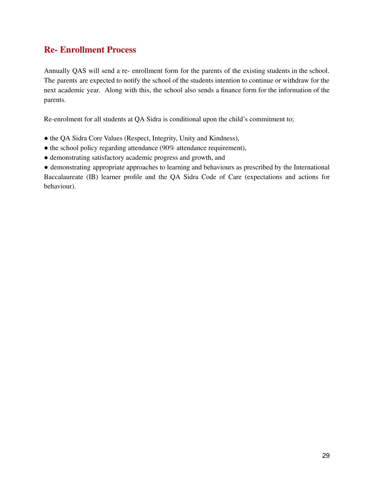### **Re- Enrollment Process**

Annually QAS will send a re- enrollment form for the parents of the existing students in the school. The parents are expected to notify the school of the students intention to continue or withdraw for the next academic year. Along with this, the school also sends a finance form for the information of the parents.

Re-enrolment for all students at QA Sidra is conditional upon the child's commitment to;

- the QA Sidra Core Values (Respect, Integrity, Unity and Kindness),
- the school policy regarding attendance (90% attendance requirement),
- demonstrating satisfactory academic progress and growth, and

● demonstrating appropriate approaches to learning and behaviours as prescribed by the International Baccalaureate (IB) learner profile and the QA Sidra Code of Care (expectations and actions for behaviour).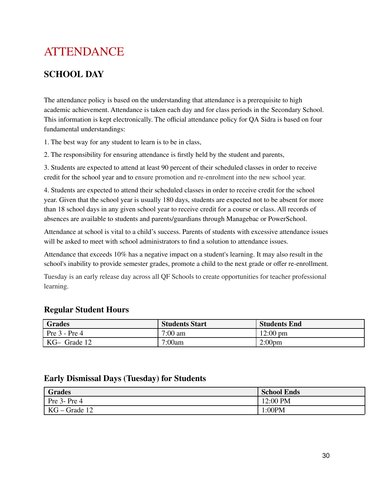## <span id="page-30-0"></span>ATTENDANCE

### **SCHOOL DAY**

The attendance policy is based on the understanding that attendance is a prerequisite to high academic achievement. Attendance is taken each day and for class periods in the Secondary School. This information is kept electronically. The official attendance policy for QA Sidra is based on four fundamental understandings:

1. The best way for any student to learn is to be in class,

2. The responsibility for ensuring attendance is firstly held by the student and parents,

3. Students are expected to attend at least 90 percent of their scheduled classes in order to receive credit for the school year and to ensure promotion and re-enrolment into the new school year.

4. Students are expected to attend their scheduled classes in order to receive credit for the school year. Given that the school year is usually 180 days, students are expected not to be absent for more than 18 school days in any given school year to receive credit for a course or class. All records of absences are available to students and parents/guardians through Managebac or PowerSchool.

Attendance at school is vital to a child's success. Parents of students with excessive attendance issues will be asked to meet with school administrators to find a solution to attendance issues.

Attendance that exceeds 10% has a negative impact on a student's learning. It may also result in the school's inability to provide semester grades, promote a child to the next grade or offer re-enrollment.

Tuesday is an early release day across all QF Schools to create opportunities for teacher professional learning.

### **Regular Student Hours**

| Grades                | <b>Students Start</b> | <b>Students End</b> |
|-----------------------|-----------------------|---------------------|
| $\vert$ Pre 3 - Pre 4 | 7:00 am               | $12:00 \text{ pm}$  |
| KG- Grade 12          | 7:00am                | 2:00 <sub>pm</sub>  |

### **Early Dismissal Days (Tuesday) for Students**

| <b>Grades</b>   | <b>School Ends</b> |
|-----------------|--------------------|
| Pre 3-Pre 4     | 12:00 PM           |
| $KG - Grade 12$ | :00PM              |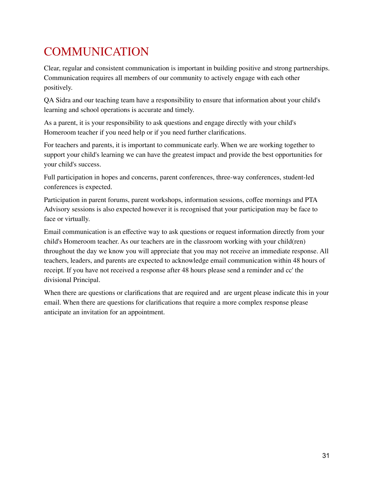## <span id="page-31-0"></span>**COMMUNICATION**

Clear, regular and consistent communication is important in building positive and strong partnerships. Communication requires all members of our community to actively engage with each other positively.

QA Sidra and our teaching team have a responsibility to ensure that information about your child's learning and school operations is accurate and timely.

As a parent, it is your responsibility to ask questions and engage directly with your child's Homeroom teacher if you need help or if you need further clarifications.

For teachers and parents, it is important to communicate early. When we are working together to support your child's learning we can have the greatest impact and provide the best opportunities for your child's success.

Full participation in hopes and concerns, parent conferences, three-way conferences, student-led conferences is expected.

Participation in parent forums, parent workshops, information sessions, coffee mornings and PTA Advisory sessions is also expected however it is recognised that your participation may be face to face or virtually.

Email communication is an effective way to ask questions or request information directly from your child's Homeroom teacher. As our teachers are in the classroom working with your child(ren) throughout the day we know you will appreciate that you may not receive an immediate response. All teachers, leaders, and parents are expected to acknowledge email communication within 48 hours of receipt. If you have not received a response after 48 hours please send a reminder and cc' the divisional Principal.

When there are questions or clarifications that are required and are urgent please indicate this in your email. When there are questions for clarifications that require a more complex response please anticipate an invitation for an appointment.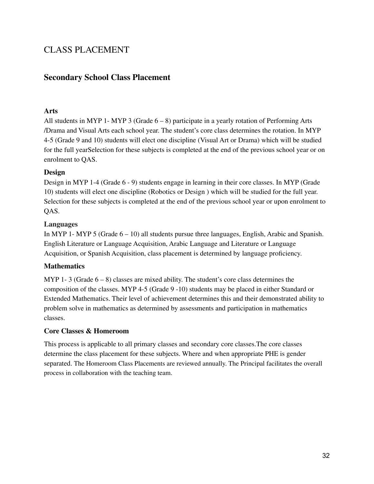### CLASS PLACEMENT

### **Secondary School Class Placement**

#### **Arts**

All students in MYP 1- MYP 3 (Grade  $6-8$ ) participate in a yearly rotation of Performing Arts /Drama and Visual Arts each school year. The student's core class determines the rotation. In MYP 4-5 (Grade 9 and 10) students will elect one discipline (Visual Art or Drama) which will be studied for the full yearSelection for these subjects is completed at the end of the previous school year or on enrolment to QAS.

#### **Design**

Design in MYP 1-4 (Grade 6 - 9) students engage in learning in their core classes. In MYP (Grade 10) students will elect one discipline (Robotics or Design ) which will be studied for the full year. Selection for these subjects is completed at the end of the previous school year or upon enrolment to QAS.

#### **Languages**

In MYP 1- MYP 5 (Grade 6 – 10) all students pursue three languages, English, Arabic and Spanish. English Literature or Language Acquisition, Arabic Language and Literature or Language Acquisition, or Spanish Acquisition, class placement is determined by language proficiency.

### **Mathematics**

MYP 1-3 (Grade  $6-8$ ) classes are mixed ability. The student's core class determines the composition of the classes. MYP 4-5 (Grade 9 -10) students may be placed in either Standard or Extended Mathematics. Their level of achievement determines this and their demonstrated ability to problem solve in mathematics as determined by assessments and participation in mathematics classes.

### **Core Classes & Homeroom**

This process is applicable to all primary classes and secondary core classes.The core classes determine the class placement for these subjects. Where and when appropriate PHE is gender separated. The Homeroom Class Placements are reviewed annually. The Principal facilitates the overall process in collaboration with the teaching team.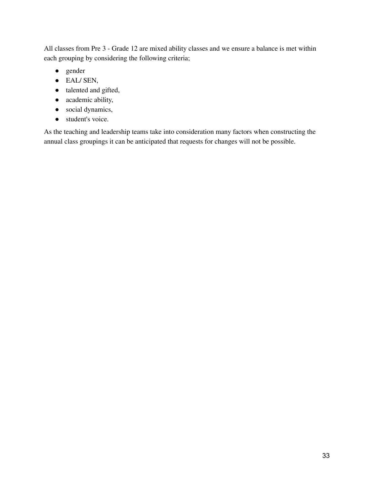All classes from Pre 3 - Grade 12 are mixed ability classes and we ensure a balance is met within each grouping by considering the following criteria;

- gender
- EAL/ SEN,
- talented and gifted,
- academic ability,
- social dynamics,
- student's voice.

As the teaching and leadership teams take into consideration many factors when constructing the annual class groupings it can be anticipated that requests for changes will not be possible.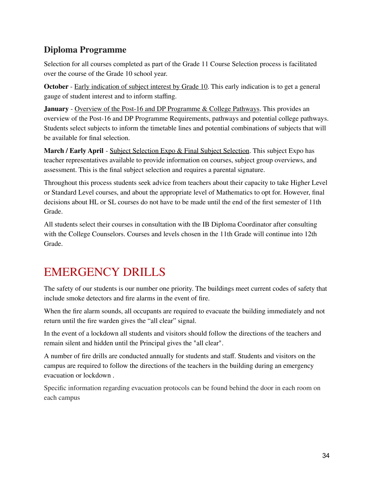### **Diploma Programme**

Selection for all courses completed as part of the Grade 11 Course Selection process is facilitated over the course of the Grade 10 school year.

**October** - Early indication of subject interest by Grade 10. This early indication is to get a general gauge of student interest and to inform staffing.

**January** - Overview of the Post-16 and DP Programme & College Pathways. This provides an overview of the Post-16 and DP Programme Requirements, pathways and potential college pathways. Students select subjects to inform the timetable lines and potential combinations of subjects that will be available for final selection.

**March / Early April** - Subject Selection Expo & Final Subject Selection. This subject Expo has teacher representatives available to provide information on courses, subject group overviews, and assessment. This is the final subject selection and requires a parental signature.

Throughout this process students seek advice from teachers about their capacity to take Higher Level or Standard Level courses, and about the appropriate level of Mathematics to opt for. However, final decisions about HL or SL courses do not have to be made until the end of the first semester of 11th Grade.

All students select their courses in consultation with the IB Diploma Coordinator after consulting with the College Counselors. Courses and levels chosen in the 11th Grade will continue into 12th Grade.

## <span id="page-34-0"></span>EMERGENCY DRILLS

The safety of our students is our number one priority. The buildings meet current codes of safety that include smoke detectors and fire alarms in the event of fire.

When the fire alarm sounds, all occupants are required to evacuate the building immediately and not return until the fire warden gives the "all clear" signal.

In the event of a lockdown all students and visitors should follow the directions of the teachers and remain silent and hidden until the Principal gives the "all clear".

A number of fire drills are conducted annually for students and staff. Students and visitors on the campus are required to follow the directions of the teachers in the building during an emergency evacuation or lockdown .

Specific information regarding evacuation protocols can be found behind the door in each room on each campus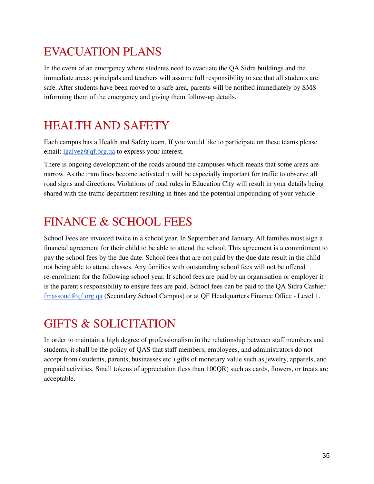## <span id="page-35-0"></span>EVACUATION PLANS

In the event of an emergency where students need to evacuate the QA Sidra buildings and the immediate areas; principals and teachers will assume full responsibility to see that all students are safe. After students have been moved to a safe area, parents will be notified immediately by SMS informing them of the emergency and giving them follow-up details.

### <span id="page-35-1"></span>HEALTH AND SAFETY

Each campus has a Health and Safety team. If you would like to participate on these teams please email: [lgalvez@qf.org.qa](mailto:lgalvez@qf.org.qa) to express your interest.

There is ongoing development of the roads around the campuses which means that some areas are narrow. As the tram lines become activated it will be especially important for traffic to observe all road signs and directions. Violations of road rules in Education City will result in your details being shared with the traffic department resulting in fines and the potential impounding of your vehicle

## <span id="page-35-2"></span>FINANCE & SCHOOL FEES

School Fees are invoiced twice in a school year. In September and January. All families must sign a financial agreement for their child to be able to attend the school. This agreement is a commitment to pay the school fees by the due date. School fees that are not paid by the due date result in the child not being able to attend classes. Any families with outstanding school fees will not be offered re-enrolment for the following school year. If school fees are paid by an organisation or employer it is the parent's responsibility to ensure fees are paid. School fees can be paid to the QA Sidra Cashier [fmassoud@qf.org.qa](mailto:fmassoud@qf.org.qa) (Secondary School Campus) or at QF Headquarters Finance Office - Level 1.

### <span id="page-35-3"></span>GIFTS & SOLICITATION

In order to maintain a high degree of professionalism in the relationship between staff members and students, it shall be the policy of QAS that staff members, employees, and administrators do not accept from (students, parents, businesses etc.) gifts of monetary value such as jewelry, apparels, and prepaid activities. Small tokens of appreciation (less than 100QR) such as cards, flowers, or treats are acceptable.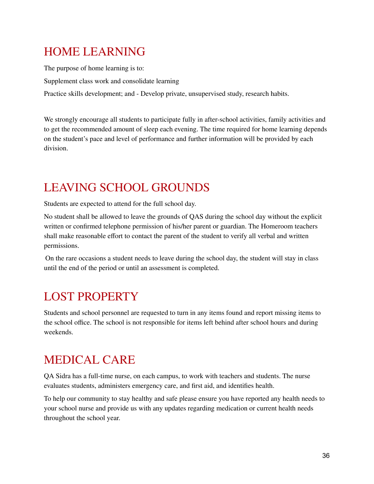## <span id="page-36-0"></span>HOME LEARNING

The purpose of home learning is to: Supplement class work and consolidate learning Practice skills development; and - Develop private, unsupervised study, research habits.

We strongly encourage all students to participate fully in after-school activities, family activities and to get the recommended amount of sleep each evening. The time required for home learning depends on the student's pace and level of performance and further information will be provided by each division.

## <span id="page-36-1"></span>LEAVING SCHOOL GROUNDS

Students are expected to attend for the full school day.

No student shall be allowed to leave the grounds of QAS during the school day without the explicit written or confirmed telephone permission of his/her parent or guardian. The Homeroom teachers shall make reasonable effort to contact the parent of the student to verify all verbal and written permissions.

On the rare occasions a student needs to leave during the school day, the student will stay in class until the end of the period or until an assessment is completed.

## <span id="page-36-2"></span>LOST PROPERTY

Students and school personnel are requested to turn in any items found and report missing items to the school office. The school is not responsible for items left behind after school hours and during weekends.

## <span id="page-36-3"></span>MEDICAL CARE

QA Sidra has a full-time nurse, on each campus, to work with teachers and students. The nurse evaluates students, administers emergency care, and first aid, and identifies health.

To help our community to stay healthy and safe please ensure you have reported any health needs to your school nurse and provide us with any updates regarding medication or current health needs throughout the school year.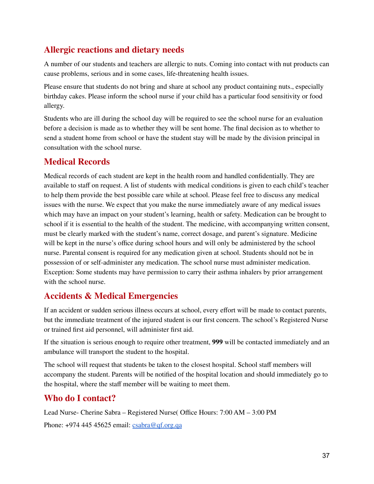### **Allergic reactions and dietary needs**

A number of our students and teachers are allergic to nuts. Coming into contact with nut products can cause problems, serious and in some cases, life-threatening health issues.

Please ensure that students do not bring and share at school any product containing nuts., especially birthday cakes. Please inform the school nurse if your child has a particular food sensitivity or food allergy.

Students who are ill during the school day will be required to see the school nurse for an evaluation before a decision is made as to whether they will be sent home. The final decision as to whether to send a student home from school or have the student stay will be made by the division principal in consultation with the school nurse.

### **Medical Records**

Medical records of each student are kept in the health room and handled confidentially. They are available to staff on request. A list of students with medical conditions is given to each child's teacher to help them provide the best possible care while at school. Please feel free to discuss any medical issues with the nurse. We expect that you make the nurse immediately aware of any medical issues which may have an impact on your student's learning, health or safety. Medication can be brought to school if it is essential to the health of the student. The medicine, with accompanying written consent, must be clearly marked with the student's name, correct dosage, and parent's signature. Medicine will be kept in the nurse's office during school hours and will only be administered by the school nurse. Parental consent is required for any medication given at school. Students should not be in possession of or self-administer any medication. The school nurse must administer medication. Exception: Some students may have permission to carry their asthma inhalers by prior arrangement with the school nurse.

### **Accidents & Medical Emergencies**

If an accident or sudden serious illness occurs at school, every effort will be made to contact parents, but the immediate treatment of the injured student is our first concern. The school's Registered Nurse or trained first aid personnel, will administer first aid.

If the situation is serious enough to require other treatment, **999** will be contacted immediately and an ambulance will transport the student to the hospital.

The school will request that students be taken to the closest hospital. School staff members will accompany the student. Parents will be notified of the hospital location and should immediately go to the hospital, where the staff member will be waiting to meet them.

### **Who do I contact?**

Lead Nurse- Cherine Sabra – Registered Nurse( Office Hours: 7:00 AM – 3:00 PM Phone:  $+97444545625$  email:  $csabra@qf.org.qa$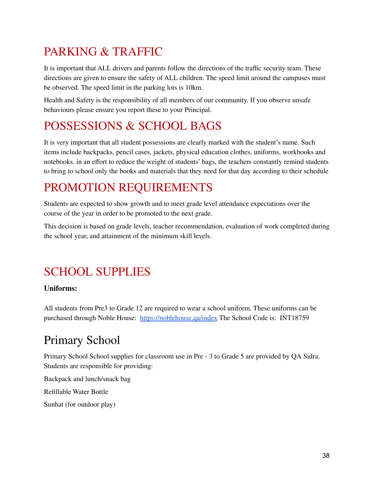## <span id="page-38-0"></span>PARKING & TRAFFIC

It is important that ALL drivers and parents follow the directions of the traffic security team. These directions are given to ensure the safety of ALL children. The speed limit around the campuses must be observed. The speed limit in the parking lots is 10km.

Health and Safety is the responsibility of all members of our community. If you observe unsafe behaviours please ensure you report these to your Principal.

## <span id="page-38-1"></span>POSSESSIONS & SCHOOL BAGS

It is very important that all student possessions are clearly marked with the student's name. Such items include backpacks, pencil cases, jackets, physical education clothes, uniforms, workbooks and notebooks. in an effort to reduce the weight of students' bags, the teachers constantly remind students to bring to school only the books and materials that they need for that day according to their schedule

### <span id="page-38-2"></span>PROMOTION REQUIREMENTS

Students are expected to show growth and to meet grade level attendance expectations over the course of the year in order to be promoted to the next grade.

This decision is based on grade levels, teacher recommendation, evaluation of work completed during the school year, and attainment of the minimum skill levels.

## <span id="page-38-3"></span>SCHOOL SUPPLIES

**Uniforms:**

All students from Pre3 to Grade 12 are required to wear a school uniform. These uniforms can be purchased through Noble House: <https://noblehouse.qa/index> The School Code is: INT18759

## Primary School

Primary School School supplies for classroom use in Pre - 3 to Grade 5 are provided by QA Sidra. Students are responsible for providing:

Backpack and lunch/snack bag

Refillable Water Bottle

Sunhat (for outdoor play)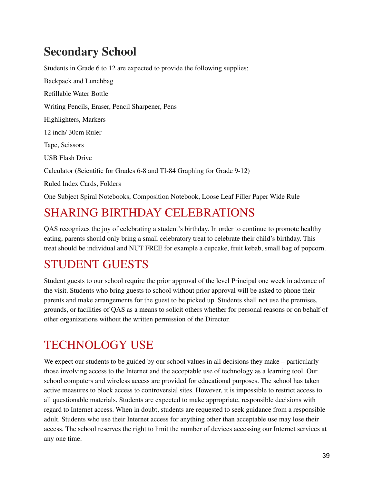## **Secondary School**

Students in Grade 6 to 12 are expected to provide the following supplies: Backpack and Lunchbag Refillable Water Bottle Writing Pencils, Eraser, Pencil Sharpener, Pens Highlighters, Markers 12 inch/ 30cm Ruler Tape, Scissors USB Flash Drive Calculator (Scientific for Grades 6-8 and TI-84 Graphing for Grade 9-12) Ruled Index Cards, Folders One Subject Spiral Notebooks, Composition Notebook, Loose Leaf Filler Paper Wide Rule

## SHARING BIRTHDAY CELEBRATIONS

QAS recognizes the joy of celebrating a student's birthday. In order to continue to promote healthy eating, parents should only bring a small celebratory treat to celebrate their child's birthday. This treat should be individual and NUT FREE for example a cupcake, fruit kebab, small bag of popcorn.

## STUDENT GUESTS

Student guests to our school require the prior approval of the level Principal one week in advance of the visit. Students who bring guests to school without prior approval will be asked to phone their parents and make arrangements for the guest to be picked up. Students shall not use the premises, grounds, or facilities of QAS as a means to solicit others whether for personal reasons or on behalf of other organizations without the written permission of the Director.

## TECHNOLOGY USE

We expect our students to be guided by our school values in all decisions they make – particularly those involving access to the Internet and the acceptable use of technology as a learning tool. Our school computers and wireless access are provided for educational purposes. The school has taken active measures to block access to controversial sites. However, it is impossible to restrict access to all questionable materials. Students are expected to make appropriate, responsible decisions with regard to Internet access. When in doubt, students are requested to seek guidance from a responsible adult. Students who use their Internet access for anything other than acceptable use may lose their access. The school reserves the right to limit the number of devices accessing our Internet services at any one time.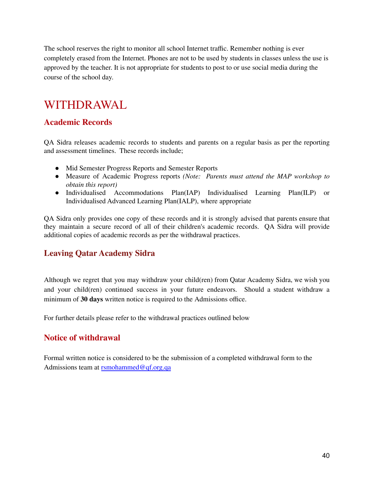The school reserves the right to monitor all school Internet traffic. Remember nothing is ever completely erased from the Internet. Phones are not to be used by students in classes unless the use is approved by the teacher. It is not appropriate for students to post to or use social media during the course of the school day.

### <span id="page-40-0"></span>WITHDRAWAL

### **Academic Records**

QA Sidra releases academic records to students and parents on a regular basis as per the reporting and assessment timelines. These records include;

- Mid Semester Progress Reports and Semester Reports
- Measure of Academic Progress reports *(Note: Parents must attend the MAP workshop to obtain this report)*
- Individualised Accommodations Plan(IAP) Individualised Learning Plan(ILP) or Individualised Advanced Learning Plan(IALP), where appropriate

QA Sidra only provides one copy of these records and it is strongly advised that parents ensure that they maintain a secure record of all of their children's academic records. QA Sidra will provide additional copies of academic records as per the withdrawal practices.

### **Leaving Qatar Academy Sidra**

Although we regret that you may withdraw your child(ren) from Qatar Academy Sidra, we wish you and your child(ren) continued success in your future endeavors. Should a student withdraw a minimum of **30 days** written notice is required to the Admissions office.

For further details please refer to the withdrawal practices outlined below

### **Notice of withdrawal**

Formal written notice is considered to be the submission of a completed withdrawal form to the Admissions team at [rsmohammed@qf.org.qa](mailto:rsmohammed@qf.org.qa)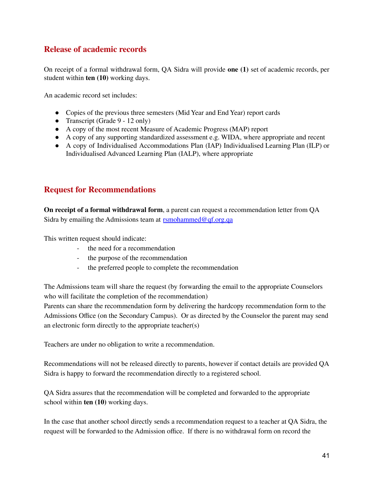### **Release of academic records**

On receipt of a formal withdrawal form, QA Sidra will provide **one (1)** set of academic records, per student within **ten (10)** working days.

An academic record set includes:

- Copies of the previous three semesters (Mid Year and End Year) report cards
- Transcript (Grade 9 12 only)
- A copy of the most recent Measure of Academic Progress (MAP) report
- A copy of any supporting standardized assessment e.g. WIDA, where appropriate and recent
- A copy of Individualised Accommodations Plan (IAP) Individualised Learning Plan (ILP) or Individualised Advanced Learning Plan (IALP), where appropriate

### **Request for Recommendations**

**On receipt of a formal withdrawal form**, a parent can request a recommendation letter from QA Sidra by emailing the Admissions team at [rsmohammed@qf.org.qa](mailto:admissions@qasidra.org)

This written request should indicate:

- the need for a recommendation
- the purpose of the recommendation
- the preferred people to complete the recommendation

The Admissions team will share the request (by forwarding the email to the appropriate Counselors who will facilitate the completion of the recommendation)

Parents can share the recommendation form by delivering the hardcopy recommendation form to the Admissions Office (on the Secondary Campus). Or as directed by the Counselor the parent may send an electronic form directly to the appropriate teacher(s)

Teachers are under no obligation to write a recommendation.

Recommendations will not be released directly to parents, however if contact details are provided QA Sidra is happy to forward the recommendation directly to a registered school.

QA Sidra assures that the recommendation will be completed and forwarded to the appropriate school within **ten (10)** working days.

In the case that another school directly sends a recommendation request to a teacher at QA Sidra, the request will be forwarded to the Admission office. If there is no withdrawal form on record the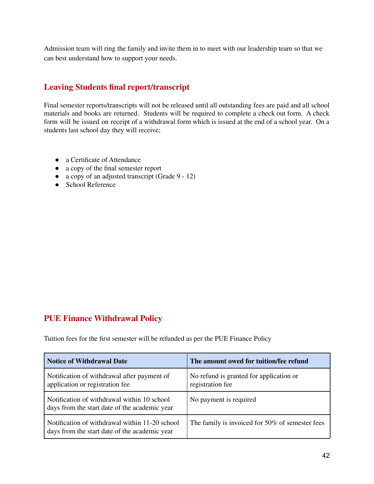Admission team will ring the family and invite them in to meet with our leadership team so that we can best understand how to support your needs.

### **Leaving Students final report/transcript**

Final semester reports/transcripts will not be released until all outstanding fees are paid and all school materials and books are returned. Students will be required to complete a check out form. A check form will be issued on receipt of a withdrawal form which is issued at the end of a school year. On a students last school day they will receive;

- a Certificate of Attendance
- a copy of the final semester report
- a copy of an adjusted transcript (Grade 9 12)
- School Reference

### **PUE Finance Withdrawal Policy**

Tuition fees for the first semester will be refunded as per the PUE Finance Policy

| <b>Notice of Withdrawal Date</b>                                                                | The amount owed for tuition/fee refund                      |
|-------------------------------------------------------------------------------------------------|-------------------------------------------------------------|
| Notification of withdrawal after payment of<br>application or registration fee                  | No refund is granted for application or<br>registration fee |
| Notification of withdrawal within 10 school<br>days from the start date of the academic year    | No payment is required                                      |
| Notification of withdrawal within 11-20 school<br>days from the start date of the academic year | The family is invoiced for 50% of semester fees             |